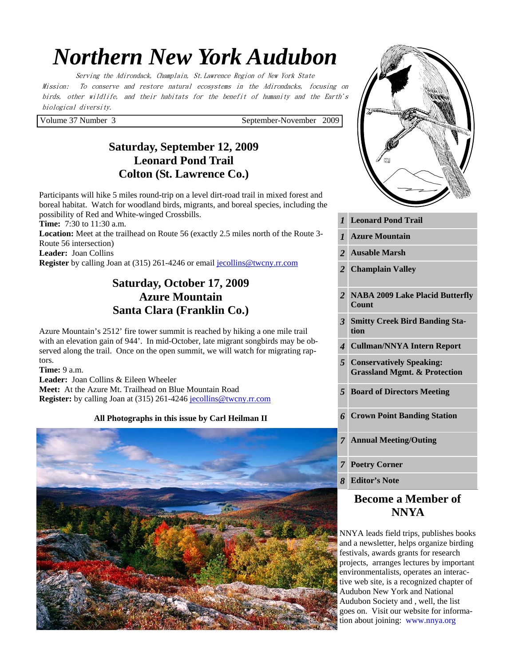# *Northern New York Audubon*

Serving the Adirondack, Champlain, St.Lawrence Region of New York State Mission: To conserve and restore natural ecosystems in the Adirondacks, focusing on birds, other wildlife, and their habitats for the benefit of humanity and the Earth's biological diversity.

Volume 37 Number 3 September-November 2009

# **Saturday, September 12, 2009 Leonard Pond Trail Colton (St. Lawrence Co.)**

Participants will hike 5 miles round-trip on a level dirt-road trail in mixed forest and boreal habitat. Watch for woodland birds, migrants, and boreal species, including the possibility of Red and White-winged Crossbills.

**Time:** 7:30 to 11:30 a.m.

**Location:** Meet at the trailhead on Route 56 (exactly 2.5 miles north of the Route 3- Route 56 intersection)

**Leader:** Joan Collins

**Register** by calling Joan at (315) 261-4246 or email jecollins@twcny.rr.com

# **Saturday, October 17, 2009 Azure Mountain Santa Clara (Franklin Co.)**

Azure Mountain's 2512' fire tower summit is reached by hiking a one mile trail with an elevation gain of 944'. In mid-October, late migrant songbirds may be observed along the trail. Once on the open summit, we will watch for migrating raptors.

**Time:** 9 a.m.

**Leader:** Joan Collins & Eileen Wheeler **Meet:** At the Azure Mt. Trailhead on Blue Mountain Road **Register:** by calling Joan at (315) 261-4246 jecollins@twcny.rr.com

#### **All Photographs in this issue by Carl Heilman II**





|  | 1 Leonard Pond Trail |  |  |
|--|----------------------|--|--|
|--|----------------------|--|--|

- *1* **Azure Mountain**
- *2* **Ausable Marsh**
- *2* **Champlain Valley**
- *2* **NABA 2009 Lake Placid Butterfly Count**
- *3* **Smitty Creek Bird Banding Station**
- *4* **Cullman/NNYA Intern Report**
- *5* **Conservatively Speaking: Grassland Mgmt. & Protection**
- *5* **Board of Directors Meeting**
- *6* **Crown Point Banding Station**
- *7* **Annual Meeting/Outing**
- *7* **Poetry Corner**

*8* **Editor's Note** 

# **Become a Member of NNYA**

NNYA leads field trips, publishes books and a newsletter, helps organize birding festivals, awards grants for research projects, arranges lectures by important environmentalists, operates an interactive web site, is a recognized chapter of Audubon New York and National Audubon Society and , well, the list goes on. Visit our website for information about joining: www.nnya.org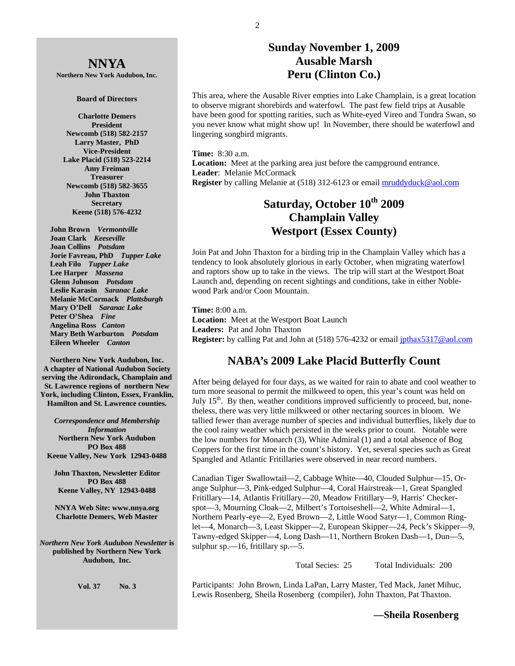2

# **Sunday November 1, 2009 Ausable Marsh Peru (Clinton Co.)**

This area, where the Ausable River empties into Lake Champlain, is a great location to observe migrant shorebirds and waterfowl. The past few field trips at Ausable have been good for spotting rarities, such as White-eyed Vireo and Tundra Swan, so you never know what might show up! In November, there should be waterfowl and lingering songbird migrants.

**Time:** 8:30 a.m.

**Location:** Meet at the parking area just before the campground entrance. **Leader**: Melanie McCormack **Register** by calling Melanie at (518) 312-6123 or email **mruddyduck@aol.com** 

# **Saturday, October 10th 2009 Champlain Valley Westport (Essex County)**

Join Pat and John Thaxton for a birding trip in the Champlain Valley which has a tendency to look absolutely glorious in early October, when migrating waterfowl and raptors show up to take in the views. The trip will start at the Westport Boat Launch and, depending on recent sightings and conditions, take in either Noblewood Park and/or Coon Mountain.

**Time:** 8:00 a.m. **Location:** Meet at the Westport Boat Launch **Leaders:** Pat and John Thaxton **Register:** by calling Pat and John at (518) 576-4232 or email jpthax5317@aol.com

# **NABA's 2009 Lake Placid Butterfly Count**

After being delayed for four days, as we waited for rain to abate and cool weather to turn more seasonal to permit the milkweed to open, this year's count was held on July  $15<sup>th</sup>$ . By then, weather conditions improved sufficiently to proceed, but, nonetheless, there was very little milkweed or other nectaring sources in bloom. We tallied fewer than average number of species and individual butterflies, likely due to the cool rainy weather which persisted in the weeks prior to count. Notable were the low numbers for Monarch (3), White Admiral (1) and a total absence of Bog Coppers for the first time in the count's history. Yet, several species such as Great Spangled and Atlantic Fritillaries were observed in near record numbers.

Canadian Tiger Swallowtail—2, Cabbage White—40, Clouded Sulphur—15, Orange Sulphur—3, Pink-edged Sulphur—4, Coral Hairstreak—1, Great Spangled Fritillary—14, Atlantis Fritillary—20, Meadow Fritillary—9, Harris' Checkerspot—3, Mourning Cloak—2, Milbert's Tortoiseshell—2, White Admiral—1, Northern Pearly-eye—2, Eyed Brown—2, Little Wood Satyr—1, Common Ringlet—4, Monarch—3, Least Skipper—2, European Skipper—24, Peck's Skipper—9, Tawny-edged Skipper—4, Long Dash—11, Northern Broken Dash—1, Dun—5, sulphur sp.—16, fritillary sp.—5.

Total Secies: 25 Total Individuals: 200

Participants: John Brown, Linda LaPan, Larry Master, Ted Mack, Janet Mihuc, Lewis Rosenberg, Sheila Rosenberg (compiler), John Thaxton, Pat Thaxton.

 **—Sheila Rosenberg** 

**NNYA Northern New York Audubon, Inc.** 

#### **Board of Directors**

**Charlotte Demers President Newcomb (518) 582-2157 Larry Master, PhD Vice-President Lake Placid (518) 523-2214 Amy Freiman Treasurer Newcomb (518) 582-3655 John Thaxton Secretary Keene (518) 576-4232** 

 **John Brown** *Vermontville*  **Joan Clark** *Keeseville*  **Joan Collins** *Potsdam*   **Jorie Favreau, PhD** *Tupper Lake*  **Leah Filo** *Tupper Lake*  **Lee Harper** *Massena*   **Glenn Johnson** *Potsdam*   **Leslie Karasin** *Saranac Lake*  **Melanie McCormack** *Plattsburgh*   **Mary O'Dell** *Saranac Lake*  **Peter O'Shea** *Fine*   **Angelina Ross** *Canton*   **Mary Beth Warburton** *Potsdam*   **Eileen Wheeler** *Canton* 

**Northern New York Audubon, Inc. A chapter of National Audubon Society serving the Adirondack, Champlain and St. Lawrence regions of northern New York, including Clinton, Essex, Franklin, Hamilton and St. Lawrence counties.** 

*Correspondence and Membership Information* **Northern New York Audubon PO Box 488 Keene Valley, New York 12943-0488** 

**John Thaxton, Newsletter Editor PO Box 488 Keene Valley, NY 12943-0488** 

**NNYA Web Site: www.nnya.org Charlotte Demers, Web Master** 

*Northern New York Audubon Newsletter* **is published by Northern New York Audubon, Inc.** 

**Vol. 37 No. 3**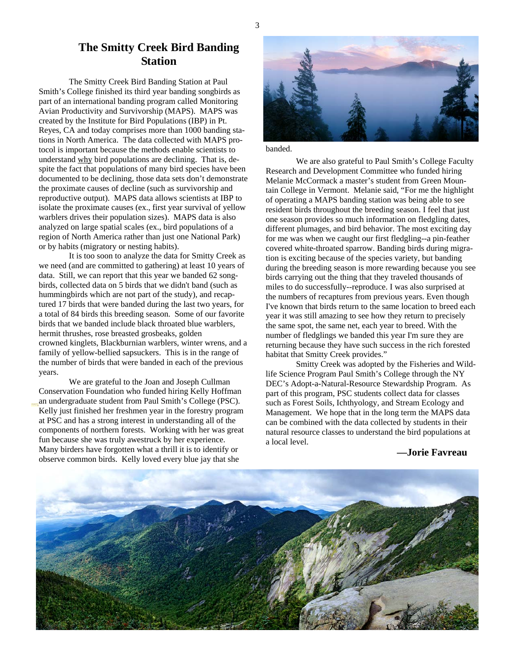## **The Smitty Creek Bird Banding Station**

The Smitty Creek Bird Banding Station at Paul Smith's College finished its third year banding songbirds as part of an international banding program called Monitoring Avian Productivity and Survivorship (MAPS). MAPS was created by the Institute for Bird Populations (IBP) in Pt. Reyes, CA and today comprises more than 1000 banding stations in North America. The data collected with MAPS protocol is important because the methods enable scientists to understand why bird populations are declining. That is, despite the fact that populations of many bird species have been documented to be declining, those data sets don't demonstrate the proximate causes of decline (such as survivorship and reproductive output). MAPS data allows scientists at IBP to isolate the proximate causes (ex., first year survival of yellow warblers drives their population sizes). MAPS data is also analyzed on large spatial scales (ex., bird populations of a region of North America rather than just one National Park) or by habits (migratory or nesting habits).

It is too soon to analyze the data for Smitty Creek as we need (and are committed to gathering) at least 10 years of data. Still, we can report that this year we banded 62 songbirds, collected data on 5 birds that we didn't band (such as hummingbirds which are not part of the study), and recaptured 17 birds that were banded during the last two years, for a total of 84 birds this breeding season. Some of our favorite birds that we banded include black throated blue warblers, hermit thrushes, rose breasted grosbeaks, golden crowned kinglets, Blackburnian warblers, winter wrens, and a family of yellow-bellied sapsuckers. This is in the range of the number of birds that were banded in each of the previous years.

We are grateful to the Joan and Joseph Cullman Conservation Foundation who funded hiring Kelly Hoffman an undergraduate student from Paul Smith's College (PSC). Kelly just finished her freshmen year in the forestry program at PSC and has a strong interest in understanding all of the components of northern forests. Working with her was great fun because she was truly awestruck by her experience. Many birders have forgotten what a thrill it is to identify or observe common birds. Kelly loved every blue jay that she



banded.

We are also grateful to Paul Smith's College Faculty Research and Development Committee who funded hiring Melanie McCormack a master's student from Green Mountain College in Vermont. Melanie said, "For me the highlight of operating a MAPS banding station was being able to see resident birds throughout the breeding season. I feel that just one season provides so much information on fledgling dates, different plumages, and bird behavior. The most exciting day for me was when we caught our first fledgling--a pin-feather covered white-throated sparrow. Banding birds during migration is exciting because of the species variety, but banding during the breeding season is more rewarding because you see birds carrying out the thing that they traveled thousands of miles to do successfully--reproduce. I was also surprised at the numbers of recaptures from previous years. Even though I've known that birds return to the same location to breed each year it was still amazing to see how they return to precisely the same spot, the same net, each year to breed. With the number of fledglings we banded this year I'm sure they are returning because they have such success in the rich forested habitat that Smitty Creek provides."

Smitty Creek was adopted by the Fisheries and Wildlife Science Program Paul Smith's College through the NY DEC's Adopt-a-Natural-Resource Stewardship Program. As part of this program, PSC students collect data for classes such as Forest Soils, Ichthyology, and Stream Ecology and Management. We hope that in the long term the MAPS data can be combined with the data collected by students in their natural resource classes to understand the bird populations at a local level.

**—Jorie Favreau**

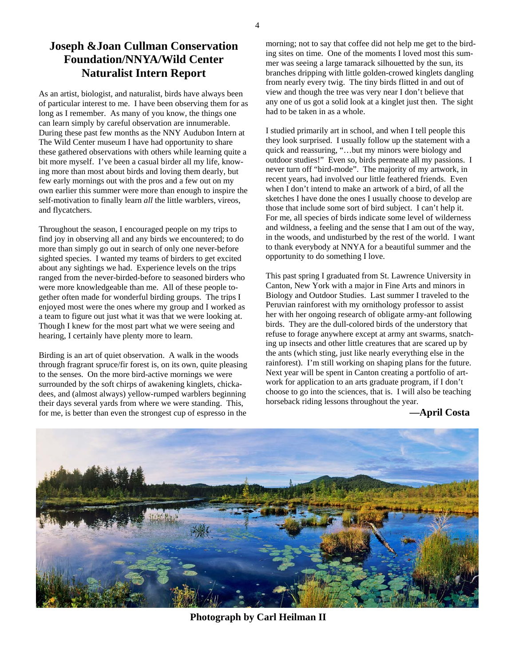## **Joseph &Joan Cullman Conservation Foundation/NNYA/Wild Center Naturalist Intern Report**

As an artist, biologist, and naturalist, birds have always been of particular interest to me. I have been observing them for as long as I remember. As many of you know, the things one can learn simply by careful observation are innumerable. During these past few months as the NNY Audubon Intern at The Wild Center museum I have had opportunity to share these gathered observations with others while learning quite a bit more myself. I've been a casual birder all my life, knowing more than most about birds and loving them dearly, but few early mornings out with the pros and a few out on my own earlier this summer were more than enough to inspire the self-motivation to finally learn *all* the little warblers, vireos, and flycatchers.

Throughout the season, I encouraged people on my trips to find joy in observing all and any birds we encountered; to do more than simply go out in search of only one never-before sighted species. I wanted my teams of birders to get excited about any sightings we had. Experience levels on the trips ranged from the never-birded-before to seasoned birders who were more knowledgeable than me. All of these people together often made for wonderful birding groups. The trips I enjoyed most were the ones where my group and I worked as a team to figure out just what it was that we were looking at. Though I knew for the most part what we were seeing and hearing, I certainly have plenty more to learn.

Birding is an art of quiet observation. A walk in the woods through fragrant spruce/fir forest is, on its own, quite pleasing to the senses. On the more bird-active mornings we were surrounded by the soft chirps of awakening kinglets, chickadees, and (almost always) yellow-rumped warblers beginning their days several yards from where we were standing. This, for me, is better than even the strongest cup of espresso in the

morning; not to say that coffee did not help me get to the birding sites on time. One of the moments I loved most this summer was seeing a large tamarack silhouetted by the sun, its branches dripping with little golden-crowed kinglets dangling from nearly every twig. The tiny birds flitted in and out of view and though the tree was very near I don't believe that any one of us got a solid look at a kinglet just then. The sight had to be taken in as a whole.

I studied primarily art in school, and when I tell people this they look surprised. I usually follow up the statement with a quick and reassuring, "…but my minors were biology and outdoor studies!" Even so, birds permeate all my passions. I never turn off "bird-mode". The majority of my artwork, in recent years, had involved our little feathered friends. Even when I don't intend to make an artwork of a bird, of all the sketches I have done the ones I usually choose to develop are those that include some sort of bird subject. I can't help it. For me, all species of birds indicate some level of wilderness and wildness, a feeling and the sense that I am out of the way, in the woods, and undisturbed by the rest of the world. I want to thank everybody at NNYA for a beautiful summer and the opportunity to do something I love.

This past spring I graduated from St. Lawrence University in Canton, New York with a major in Fine Arts and minors in Biology and Outdoor Studies. Last summer I traveled to the Peruvian rainforest with my ornithology professor to assist her with her ongoing research of obligate army-ant following birds. They are the dull-colored birds of the understory that refuse to forage anywhere except at army ant swarms, snatching up insects and other little creatures that are scared up by the ants (which sting, just like nearly everything else in the rainforest). I'm still working on shaping plans for the future. Next year will be spent in Canton creating a portfolio of artwork for application to an arts graduate program, if I don't choose to go into the sciences, that is. I will also be teaching horseback riding lessons throughout the year.

#### **—April Costa**



4

**Photograph by Carl Heilman II**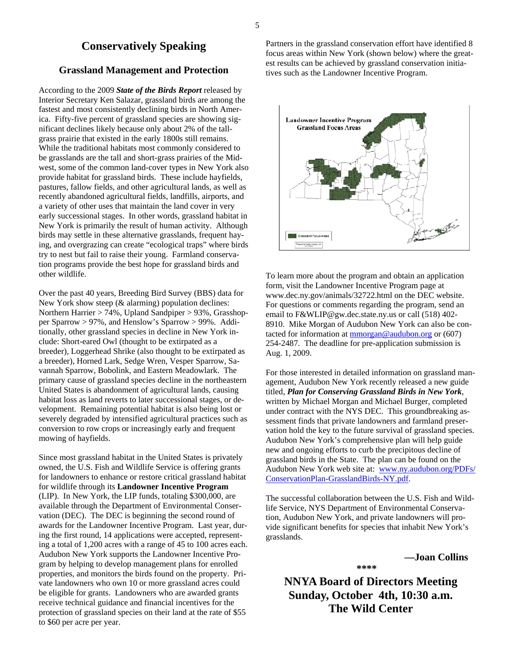#### **Conservatively Speaking**

#### **Grassland Management and Protection**

According to the 2009 *State of the Birds Report* released by Interior Secretary Ken Salazar, grassland birds are among the fastest and most consistently declining birds in North America. Fifty-five percent of grassland species are showing significant declines likely because only about 2% of the tallgrass prairie that existed in the early 1800s still remains. While the traditional habitats most commonly considered to be grasslands are the tall and short-grass prairies of the Midwest, some of the common land-cover types in New York also provide habitat for grassland birds. These include hayfields, pastures, fallow fields, and other agricultural lands, as well as recently abandoned agricultural fields, landfills, airports, and a variety of other uses that maintain the land cover in very early successional stages. In other words, grassland habitat in New York is primarily the result of human activity. Although birds may settle in these alternative grasslands, frequent haying, and overgrazing can create "ecological traps" where birds try to nest but fail to raise their young. Farmland conservation programs provide the best hope for grassland birds and other wildlife.

Over the past 40 years, Breeding Bird Survey (BBS) data for New York show steep (& alarming) population declines: Northern Harrier > 74%, Upland Sandpiper > 93%, Grasshopper Sparrow > 97%, and Henslow's Sparrow > 99%. Additionally, other grassland species in decline in New York include: Short-eared Owl (thought to be extirpated as a breeder), Loggerhead Shrike (also thought to be extirpated as a breeder), Horned Lark, Sedge Wren, Vesper Sparrow, Savannah Sparrow, Bobolink, and Eastern Meadowlark. The primary cause of grassland species decline in the northeastern United States is abandonment of agricultural lands, causing habitat loss as land reverts to later successional stages, or development. Remaining potential habitat is also being lost or severely degraded by intensified agricultural practices such as conversion to row crops or increasingly early and frequent mowing of hayfields.

Since most grassland habitat in the United States is privately owned, the U.S. Fish and Wildlife Service is offering grants for landowners to enhance or restore critical grassland habitat for wildlife through its **Landowner Incentive Program** (LIP). In New York, the LIP funds, totaling \$300,000, are available through the Department of Environmental Conservation (DEC). The DEC is beginning the second round of awards for the Landowner Incentive Program. Last year, during the first round, 14 applications were accepted, representing a total of 1,200 acres with a range of 45 to 100 acres each. Audubon New York supports the Landowner Incentive Program by helping to develop management plans for enrolled properties, and monitors the birds found on the property. Private landowners who own 10 or more grassland acres could be eligible for grants. Landowners who are awarded grants receive technical guidance and financial incentives for the protection of grassland species on their land at the rate of \$55 to \$60 per acre per year.

Partners in the grassland conservation effort have identified 8 focus areas within New York (shown below) where the greatest results can be achieved by grassland conservation initiatives such as the Landowner Incentive Program.



To learn more about the program and obtain an application form, visit the Landowner Incentive Program page at www.dec.ny.gov/animals/32722.html on the DEC website. For questions or comments regarding the program, send an email to F&WLIP@gw.dec.state.ny.us or call (518) 402- 8910. Mike Morgan of Audubon New York can also be contacted for information at  $\frac{m}{2}$  and  $\frac{m}{2}$  and  $\frac{m}{2}$  or (607) 254-2487. The deadline for pre-application submission is Aug. 1, 2009.

For those interested in detailed information on grassland management, Audubon New York recently released a new guide titled, *Plan for Conserving Grassland Birds in New York*, written by Michael Morgan and Michael Burger, completed under contract with the NYS DEC. This groundbreaking assessment finds that private landowners and farmland preservation hold the key to the future survival of grassland species. Audubon New York's comprehensive plan will help guide new and ongoing efforts to curb the precipitous decline of grassland birds in the State. The plan can be found on the Audubon New York web site at: www.ny.audubon.org/PDFs/ ConservationPlan-GrasslandBirds-NY.pdf.

The successful collaboration between the U.S. Fish and Wildlife Service, NYS Department of Environmental Conservation, Audubon New York, and private landowners will provide significant benefits for species that inhabit New York's grasslands.

 **—Joan Collins** 

**NNYA Board of Directors Meeting Sunday, October 4th, 10:30 a.m. The Wild Center** 

**\*\*\*\***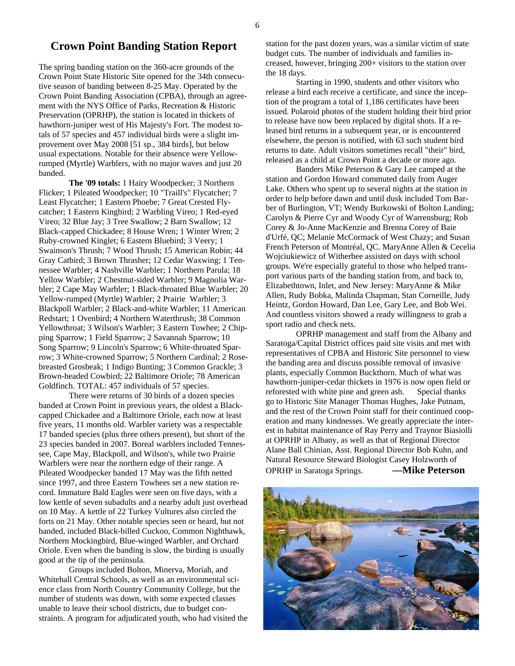### **Crown Point Banding Station Report**

The spring banding station on the 360-acre grounds of the Crown Point State Historic Site opened for the 34th consecutive season of banding between 8-25 May. Operated by the Crown Point Banding Association (CPBA), through an agreement with the NYS Office of Parks, Recreation & Historic Preservation (OPRHP), the station is located in thickets of hawthorn-juniper west of His Majesty's Fort. The modest totals of 57 species and 457 individual birds were a slight improvement over May 2008 [51 sp., 384 birds], but below usual expectations. Notable for their absence were Yellowrumped (Myrtle) Warblers, with no major waves and just 20 banded.

**The '09 totals:** 1 Hairy Woodpecker; 3 Northern Flicker; 1 Pileated Woodpecker; 10 "Traill's" Flycatcher; 7 Least Flycatcher; 1 Eastern Phoebe; 7 Great Crested Flycatcher; 1 Eastern Kingbird; 2 Warbling Vireo; 1 Red-eyed Vireo; 32 Blue Jay; 3 Tree Swallow; 2 Barn Swallow; 12 Black-capped Chickadee; 8 House Wren; 1 Winter Wren; 2 Ruby-crowned Kinglet; 6 Eastern Bluebird; 3 Veery; 1 Swainson's Thrush; 7 Wood Thrush; 15 American Robin; 44 Gray Catbird; 3 Brown Thrasher; 12 Cedar Waxwing; 1 Tennessee Warbler; 4 Nashville Warbler; 1 Northern Parula; 18 Yellow Warbler; 2 Chestnut-sided Warbler; 9 Magnolia Warbler; 2 Cape May Warbler; 1 Black-throated Blue Warbler; 20 Yellow-rumped (Myrtle) Warbler; 2 Prairie Warbler; 3 Blackpoll Warbler; 2 Black-and-white Warbler; 11 American Redstart; 1 Ovenbird; 4 Northern Waterthrush; 38 Common Yellowthroat; 3 Wilson's Warbler; 3 Eastern Towhee; 2 Chipping Sparrow; 1 Field Sparrow; 2 Savannah Sparrow; 10 Song Sparrow; 9 Lincoln's Sparrow; 6 White-throated Sparrow; 3 White-crowned Sparrow; 5 Northern Cardinal; 2 Rosebreasted Grosbeak; 1 Indigo Bunting; 3 Common Grackle; 3 Brown-headed Cowbird; 22 Baltimore Oriole; 78 American Goldfinch. TOTAL: 457 individuals of 57 species.

 There were returns of 30 birds of a dozen species banded at Crown Point in previous years, the oldest a Blackcapped Chickadee and a Baltimore Oriole, each now at least five years, 11 months old. Warbler variety was a respectable 17 banded species (plus three others present), but short of the 23 species banded in 2007. Boreal warblers included Tennessee, Cape May, Blackpoll, and Wilson's, while two Prairie Warblers were near the northern edge of their range. A Pileated Woodpecker banded 17 May was the fifth netted since 1997, and three Eastern Towhees set a new station record. Immature Bald Eagles were seen on five days, with a low kettle of seven subadults and a nearby adult just overhead on 10 May. A kettle of 22 Turkey Vultures also circled the forts on 21 May. Other notable species seen or heard, but not banded, included Black-billed Cuckoo, Common Nighthawk, Northern Mockingbird, Blue-winged Warbler, and Orchard Oriole. Even when the banding is slow, the birding is usually good at the tip of the peninsula.

 Groups included Bolton, Minerva, Moriah, and Whitehall Central Schools, as well as an environmental science class from North Country Community College, but the number of students was down, with some expected classes unable to leave their school districts, due to budget constraints. A program for adjudicated youth, who had visited the station for the past dozen years, was a similar victim of state budget cuts. The number of individuals and families increased, however, bringing 200+ visitors to the station over the 18 days.

 Starting in 1990, students and other visitors who release a bird each receive a certificate, and since the inception of the program a total of 1,186 certificates have been issued. Polaroid photos of the student holding their bird prior to release have now been replaced by digital shots. If a released bird returns in a subsequent year, or is encountered elsewhere, the person is notified, with 63 such student bird returns to date. Adult visitors sometimes recall "their" bird, released as a child at Crown Point a decade or more ago.

 Banders Mike Peterson & Gary Lee camped at the station and Gordon Howard commuted daily from Auger Lake. Others who spent up to several nights at the station in order to help before dawn and until dusk included Tom Barber of Burlington, VT; Wendy Burkowski of Bolton Landing; Carolyn & Pierre Cyr and Woody Cyr of Warrensburg; Rob Corey & Jo-Anne MacKenzie and Brenna Corey of Baie d'Urfé, QC; Melanie McCormack of West Chazy; and Susan French Peterson of Montréal, QC. MaryAnne Allen & Cecelia Wojciukiewicz of Witherbee assisted on days with school groups. We're especially grateful to those who helped transport various parts of the banding station from, and back to, Elizabethtown, Inlet, and New Jersey: MaryAnne & Mike Allen, Rudy Bobka, Malinda Chapman, Stan Corneille, Judy Heintz, Gordon Howard, Dan Lee, Gary Lee, and Bob Wei. And countless visitors showed a ready willingness to grab a sport radio and check nets.

 OPRHP management and staff from the Albany and Saratoga/Capital District offices paid site visits and met with representatives of CPBA and Historic Site personnel to view the banding area and discuss possible removal of invasive plants, especially Common Buckthorn. Much of what was hawthorn-juniper-cedar thickets in 1976 is now open field or reforested with white pine and green ash. Special thanks go to Historic Site Manager Thomas Hughes, Jake Putnam, and the rest of the Crown Point staff for their continued cooperation and many kindnesses. We greatly appreciate the interest in habitat maintenance of Ray Perry and Traynor Biasiolli at OPRHP in Albany, as well as that of Regional Director Alane Ball Chinian, Asst. Regional Director Bob Kuhn, and Natural Resource Steward Biologist Casey Holzworth of OPRHP in Saratoga Springs. **—Mike Peterson**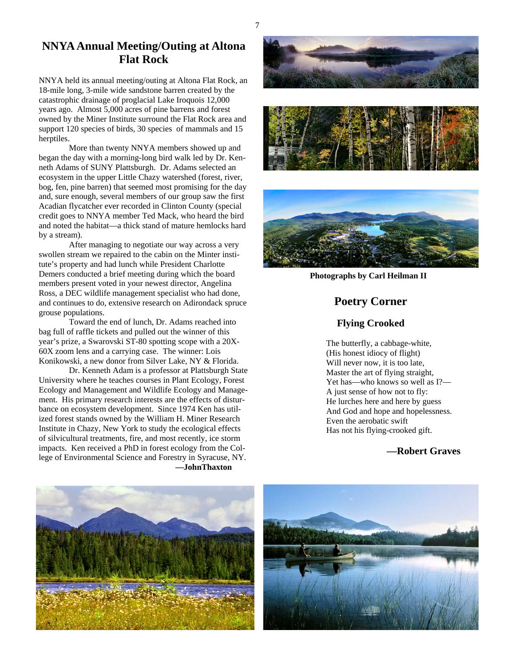### **NNYA Annual Meeting/Outing at Altona Flat Rock**

NNYA held its annual meeting/outing at Altona Flat Rock, an 18-mile long, 3-mile wide sandstone barren created by the catastrophic drainage of proglacial Lake Iroquois 12,000 years ago. Almost 5,000 acres of pine barrens and forest owned by the Miner Institute surround the Flat Rock area and support 120 species of birds, 30 species of mammals and 15 herptiles.

 More than twenty NNYA members showed up and began the day with a morning-long bird walk led by Dr. Kenneth Adams of SUNY Plattsburgh. Dr. Adams selected an ecosystem in the upper Little Chazy watershed (forest, river, bog, fen, pine barren) that seemed most promising for the day and, sure enough, several members of our group saw the first Acadian flycatcher ever recorded in Clinton County (special credit goes to NNYA member Ted Mack, who heard the bird and noted the habitat—a thick stand of mature hemlocks hard by a stream).

 After managing to negotiate our way across a very swollen stream we repaired to the cabin on the Minter institute's property and had lunch while President Charlotte Demers conducted a brief meeting during which the board members present voted in your newest director, Angelina Ross, a DEC wildlife management specialist who had done, and continues to do, extensive research on Adirondack spruce grouse populations.

 Toward the end of lunch, Dr. Adams reached into bag full of raffle tickets and pulled out the winner of this year's prize, a Swarovski ST-80 spotting scope with a 20X-60X zoom lens and a carrying case. The winner: Lois Konikowski, a new donor from Silver Lake, NY & Florida.

 Dr. Kenneth Adam is a professor at Plattsburgh State University where he teaches courses in Plant Ecology, Forest Ecology and Management and Wildlife Ecology and Management. His primary research interests are the effects of disturbance on ecosystem development. Since 1974 Ken has utilized forest stands owned by the William H. Miner Research Institute in Chazy, New York to study the ecological effects of silvicultural treatments, fire, and most recently, ice storm impacts. Ken received a PhD in forest ecology from the College of Environmental Science and Forestry in Syracuse, NY. **—JohnThaxton** 







 **Photographs by Carl Heilman II** 

## **Poetry Corner**

#### **Flying Crooked**

 The butterfly, a cabbage-white, (His honest idiocy of flight) Will never now, it is too late, Master the art of flying straight, Yet has—who knows so well as I?— A just sense of how not to fly: He lurches here and here by guess And God and hope and hopelessness. Even the aerobatic swift Has not his flying-crooked gift.

#### **—Robert Graves**